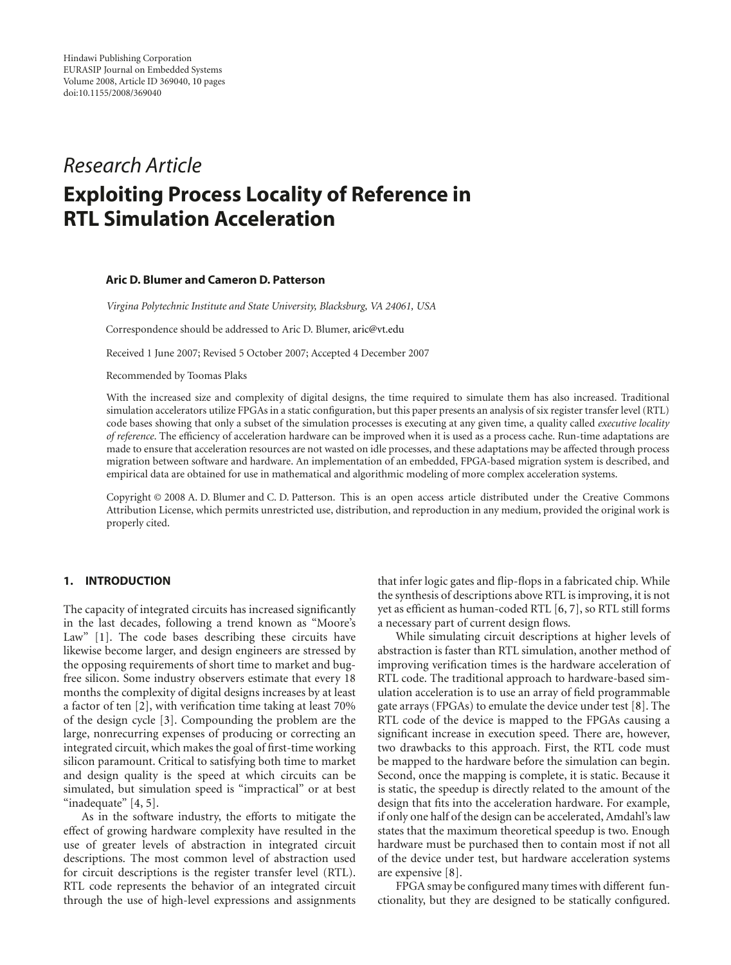# *Research Article* **Exploiting Process Locality of Reference in RTL Simulation Acceleration**

#### **Aric D. Blumer and Cameron D. Patterson**

*Virgina Polytechnic Institute and State University, Blacksburg, VA 24061, USA*

Correspondence should be addressed to Aric D. Blumer, aric@vt.edu

Received 1 June 2007; Revised 5 October 2007; Accepted 4 December 2007

Recommended by Toomas Plaks

With the increased size and complexity of digital designs, the time required to simulate them has also increased. Traditional simulation accelerators utilize FPGAs in a static configuration, but this paper presents an analysis of six register transfer level (RTL) code bases showing that only a subset of the simulation processes is executing at any given time, a quality called *executive locality of reference*. The efficiency of acceleration hardware can be improved when it is used as a process cache. Run-time adaptations are made to ensure that acceleration resources are not wasted on idle processes, and these adaptations may be affected through process migration between software and hardware. An implementation of an embedded, FPGA-based migration system is described, and empirical data are obtained for use in mathematical and algorithmic modeling of more complex acceleration systems.

Copyright © 2008 A. D. Blumer and C. D. Patterson. This is an open access article distributed under the Creative Commons Attribution License, which permits unrestricted use, distribution, and reproduction in any medium, provided the original work is properly cited.

### **1. INTRODUCTION**

The capacity of integrated circuits has increased significantly in the last decades, following a trend known as "Moore's Law" [1]. The code bases describing these circuits have likewise become larger, and design engineers are stressed by the opposing requirements of short time to market and bugfree silicon. Some industry observers estimate that every 18 months the complexity of digital designs increases by at least a factor of ten [2], with verification time taking at least 70% of the design cycle [3]. Compounding the problem are the large, nonrecurring expenses of producing or correcting an integrated circuit, which makes the goal of first-time working silicon paramount. Critical to satisfying both time to market and design quality is the speed at which circuits can be simulated, but simulation speed is "impractical" or at best "inadequate" [4, 5].

As in the software industry, the efforts to mitigate the effect of growing hardware complexity have resulted in the use of greater levels of abstraction in integrated circuit descriptions. The most common level of abstraction used for circuit descriptions is the register transfer level (RTL). RTL code represents the behavior of an integrated circuit through the use of high-level expressions and assignments that infer logic gates and flip-flops in a fabricated chip. While the synthesis of descriptions above RTL is improving, it is not yet as efficient as human-coded RTL [6, 7], so RTL still forms a necessary part of current design flows.

While simulating circuit descriptions at higher levels of abstraction is faster than RTL simulation, another method of improving verification times is the hardware acceleration of RTL code. The traditional approach to hardware-based simulation acceleration is to use an array of field programmable gate arrays (FPGAs) to emulate the device under test [8]. The RTL code of the device is mapped to the FPGAs causing a significant increase in execution speed. There are, however, two drawbacks to this approach. First, the RTL code must be mapped to the hardware before the simulation can begin. Second, once the mapping is complete, it is static. Because it is static, the speedup is directly related to the amount of the design that fits into the acceleration hardware. For example, if only one half of the design can be accelerated, Amdahl's law states that the maximum theoretical speedup is two. Enough hardware must be purchased then to contain most if not all of the device under test, but hardware acceleration systems are expensive [8].

FPGA smay be configured many times with different functionality, but they are designed to be statically configured.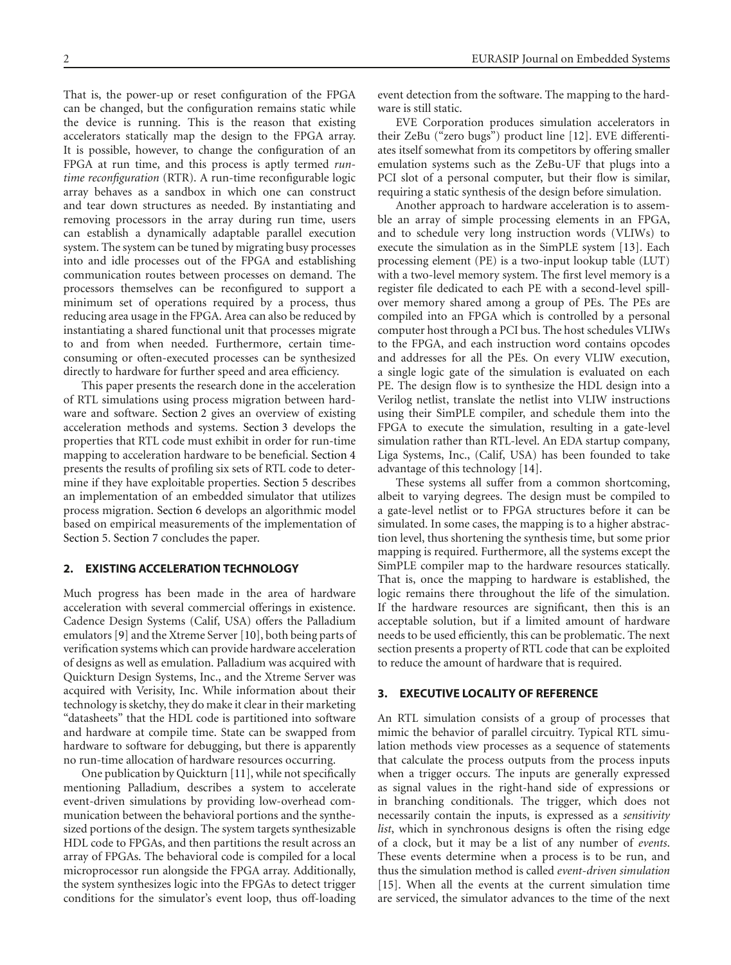That is, the power-up or reset configuration of the FPGA can be changed, but the configuration remains static while the device is running. This is the reason that existing accelerators statically map the design to the FPGA array. It is possible, however, to change the configuration of an FPGA at run time, and this process is aptly termed *runtime reconfiguration* (RTR). A run-time reconfigurable logic array behaves as a sandbox in which one can construct and tear down structures as needed. By instantiating and removing processors in the array during run time, users can establish a dynamically adaptable parallel execution system. The system can be tuned by migrating busy processes into and idle processes out of the FPGA and establishing communication routes between processes on demand. The processors themselves can be reconfigured to support a minimum set of operations required by a process, thus reducing area usage in the FPGA. Area can also be reduced by instantiating a shared functional unit that processes migrate to and from when needed. Furthermore, certain timeconsuming or often-executed processes can be synthesized directly to hardware for further speed and area efficiency.

This paper presents the research done in the acceleration of RTL simulations using process migration between hardware and software. Section 2 gives an overview of existing acceleration methods and systems. Section 3 develops the properties that RTL code must exhibit in order for run-time mapping to acceleration hardware to be beneficial. Section 4 presents the results of profiling six sets of RTL code to determine if they have exploitable properties. Section 5 describes an implementation of an embedded simulator that utilizes process migration. Section 6 develops an algorithmic model based on empirical measurements of the implementation of Section 5. Section 7 concludes the paper.

#### **2. EXISTING ACCELERATION TECHNOLOGY**

Much progress has been made in the area of hardware acceleration with several commercial offerings in existence. Cadence Design Systems (Calif, USA) offers the Palladium emulators [9] and the Xtreme Server [10], both being parts of verification systems which can provide hardware acceleration of designs as well as emulation. Palladium was acquired with Quickturn Design Systems, Inc., and the Xtreme Server was acquired with Verisity, Inc. While information about their technology is sketchy, they do make it clear in their marketing "datasheets" that the HDL code is partitioned into software and hardware at compile time. State can be swapped from hardware to software for debugging, but there is apparently no run-time allocation of hardware resources occurring.

One publication by Quickturn [11], while not specifically mentioning Palladium, describes a system to accelerate event-driven simulations by providing low-overhead communication between the behavioral portions and the synthesized portions of the design. The system targets synthesizable HDL code to FPGAs, and then partitions the result across an array of FPGAs. The behavioral code is compiled for a local microprocessor run alongside the FPGA array. Additionally, the system synthesizes logic into the FPGAs to detect trigger conditions for the simulator's event loop, thus off-loading event detection from the software. The mapping to the hardware is still static.

EVE Corporation produces simulation accelerators in their ZeBu ("zero bugs") product line [12]. EVE differentiates itself somewhat from its competitors by offering smaller emulation systems such as the ZeBu-UF that plugs into a PCI slot of a personal computer, but their flow is similar, requiring a static synthesis of the design before simulation.

Another approach to hardware acceleration is to assemble an array of simple processing elements in an FPGA, and to schedule very long instruction words (VLIWs) to execute the simulation as in the SimPLE system [13]. Each processing element (PE) is a two-input lookup table (LUT) with a two-level memory system. The first level memory is a register file dedicated to each PE with a second-level spillover memory shared among a group of PEs. The PEs are compiled into an FPGA which is controlled by a personal computer host through a PCI bus. The host schedules VLIWs to the FPGA, and each instruction word contains opcodes and addresses for all the PEs. On every VLIW execution, a single logic gate of the simulation is evaluated on each PE. The design flow is to synthesize the HDL design into a Verilog netlist, translate the netlist into VLIW instructions using their SimPLE compiler, and schedule them into the FPGA to execute the simulation, resulting in a gate-level simulation rather than RTL-level. An EDA startup company, Liga Systems, Inc., (Calif, USA) has been founded to take advantage of this technology [14].

These systems all suffer from a common shortcoming, albeit to varying degrees. The design must be compiled to a gate-level netlist or to FPGA structures before it can be simulated. In some cases, the mapping is to a higher abstraction level, thus shortening the synthesis time, but some prior mapping is required. Furthermore, all the systems except the SimPLE compiler map to the hardware resources statically. That is, once the mapping to hardware is established, the logic remains there throughout the life of the simulation. If the hardware resources are significant, then this is an acceptable solution, but if a limited amount of hardware needs to be used efficiently, this can be problematic. The next section presents a property of RTL code that can be exploited to reduce the amount of hardware that is required.

#### **3. EXECUTIVE LOCALITY OF REFERENCE**

An RTL simulation consists of a group of processes that mimic the behavior of parallel circuitry. Typical RTL simulation methods view processes as a sequence of statements that calculate the process outputs from the process inputs when a trigger occurs. The inputs are generally expressed as signal values in the right-hand side of expressions or in branching conditionals. The trigger, which does not necessarily contain the inputs, is expressed as a *sensitivity list*, which in synchronous designs is often the rising edge of a clock, but it may be a list of any number of *events*. These events determine when a process is to be run, and thus the simulation method is called *event-driven simulation* [15]. When all the events at the current simulation time are serviced, the simulator advances to the time of the next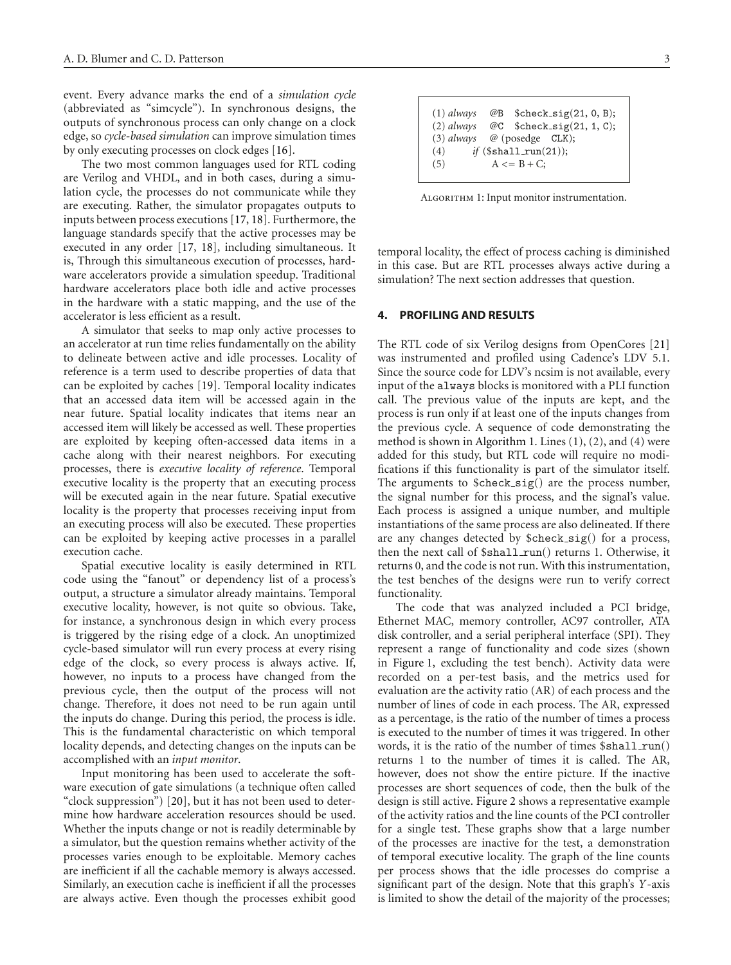event. Every advance marks the end of a *simulation cycle* (abbreviated as "simcycle"). In synchronous designs, the outputs of synchronous process can only change on a clock edge, so *cycle-based simulation* can improve simulation times by only executing processes on clock edges [16].

The two most common languages used for RTL coding are Verilog and VHDL, and in both cases, during a simulation cycle, the processes do not communicate while they are executing. Rather, the simulator propagates outputs to inputs between process executions [17, 18]. Furthermore, the language standards specify that the active processes may be executed in any order [17, 18], including simultaneous. It is, Through this simultaneous execution of processes, hardware accelerators provide a simulation speedup. Traditional hardware accelerators place both idle and active processes in the hardware with a static mapping, and the use of the accelerator is less efficient as a result.

A simulator that seeks to map only active processes to an accelerator at run time relies fundamentally on the ability to delineate between active and idle processes. Locality of reference is a term used to describe properties of data that can be exploited by caches [19]. Temporal locality indicates that an accessed data item will be accessed again in the near future. Spatial locality indicates that items near an accessed item will likely be accessed as well. These properties are exploited by keeping often-accessed data items in a cache along with their nearest neighbors. For executing processes, there is *executive locality of reference*. Temporal executive locality is the property that an executing process will be executed again in the near future. Spatial executive locality is the property that processes receiving input from an executing process will also be executed. These properties can be exploited by keeping active processes in a parallel execution cache.

Spatial executive locality is easily determined in RTL code using the "fanout" or dependency list of a process's output, a structure a simulator already maintains. Temporal executive locality, however, is not quite so obvious. Take, for instance, a synchronous design in which every process is triggered by the rising edge of a clock. An unoptimized cycle-based simulator will run every process at every rising edge of the clock, so every process is always active. If, however, no inputs to a process have changed from the previous cycle, then the output of the process will not change. Therefore, it does not need to be run again until the inputs do change. During this period, the process is idle. This is the fundamental characteristic on which temporal locality depends, and detecting changes on the inputs can be accomplished with an *input monitor*.

Input monitoring has been used to accelerate the software execution of gate simulations (a technique often called "clock suppression") [20], but it has not been used to determine how hardware acceleration resources should be used. Whether the inputs change or not is readily determinable by a simulator, but the question remains whether activity of the processes varies enough to be exploitable. Memory caches are inefficient if all the cachable memory is always accessed. Similarly, an execution cache is inefficient if all the processes are always active. Even though the processes exhibit good

```
(1) always @B $check sig(21, 0, B);
(2) always @C $check_sig(21, 1, C);<br>(3) always @ (posedge CLK);
(3) always @ (posedge CLK);
(4) if ($shall_run(21));<br>(5) A \leq B + C;
                A \leq B + C;
```
ALGORITHM 1: Input monitor instrumentation.

temporal locality, the effect of process caching is diminished in this case. But are RTL processes always active during a simulation? The next section addresses that question.

#### **4. PROFILING AND RESULTS**

The RTL code of six Verilog designs from OpenCores [21] was instrumented and profiled using Cadence's LDV 5.1. Since the source code for LDV's ncsim is not available, every input of the always blocks is monitored with a PLI function call. The previous value of the inputs are kept, and the process is run only if at least one of the inputs changes from the previous cycle. A sequence of code demonstrating the method is shown in Algorithm 1. Lines (1), (2), and (4) were added for this study, but RTL code will require no modifications if this functionality is part of the simulator itself. The arguments to \$check sig() are the process number, the signal number for this process, and the signal's value. Each process is assigned a unique number, and multiple instantiations of the same process are also delineated. If there are any changes detected by \$check sig() for a process, then the next call of \$shall\_run() returns 1. Otherwise, it returns 0, and the code is not run. With this instrumentation, the test benches of the designs were run to verify correct functionality.

The code that was analyzed included a PCI bridge, Ethernet MAC, memory controller, AC97 controller, ATA disk controller, and a serial peripheral interface (SPI). They represent a range of functionality and code sizes (shown in Figure 1, excluding the test bench). Activity data were recorded on a per-test basis, and the metrics used for evaluation are the activity ratio (AR) of each process and the number of lines of code in each process. The AR, expressed as a percentage, is the ratio of the number of times a process is executed to the number of times it was triggered. In other words, it is the ratio of the number of times  $\shall\_run()$ returns 1 to the number of times it is called. The AR, however, does not show the entire picture. If the inactive processes are short sequences of code, then the bulk of the design is still active. Figure 2 shows a representative example of the activity ratios and the line counts of the PCI controller for a single test. These graphs show that a large number of the processes are inactive for the test, a demonstration of temporal executive locality. The graph of the line counts per process shows that the idle processes do comprise a significant part of the design. Note that this graph's *Y*-axis is limited to show the detail of the majority of the processes;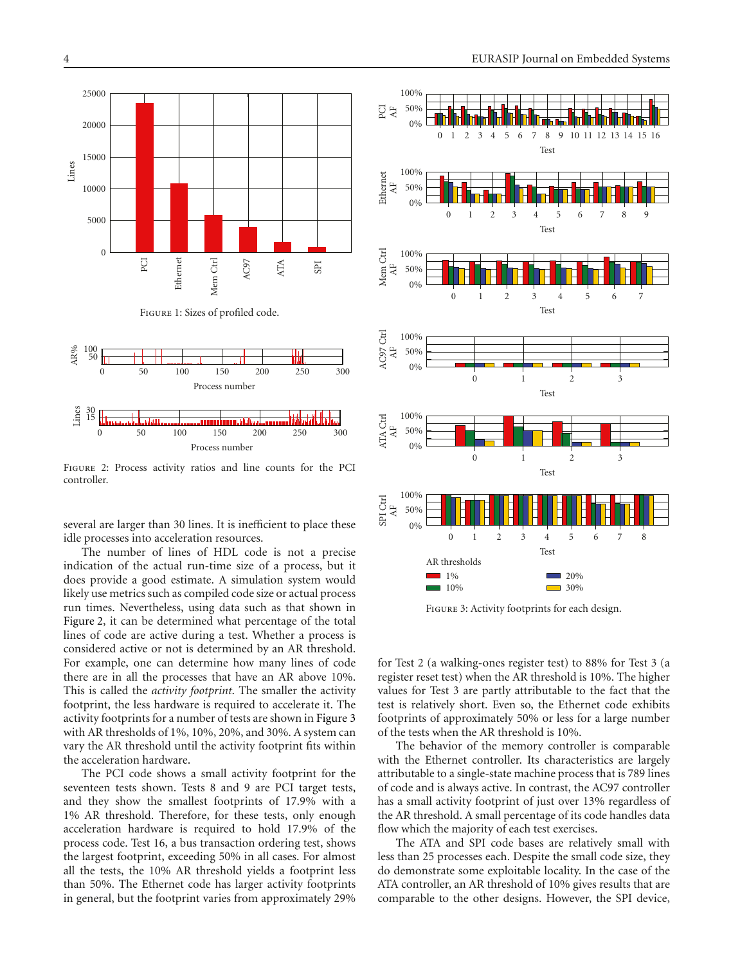





Figure 2: Process activity ratios and line counts for the PCI controller.

several are larger than 30 lines. It is inefficient to place these idle processes into acceleration resources.

The number of lines of HDL code is not a precise indication of the actual run-time size of a process, but it does provide a good estimate. A simulation system would likely use metrics such as compiled code size or actual process run times. Nevertheless, using data such as that shown in Figure 2, it can be determined what percentage of the total lines of code are active during a test. Whether a process is considered active or not is determined by an AR threshold. For example, one can determine how many lines of code there are in all the processes that have an AR above 10%. This is called the *activity footprint*. The smaller the activity footprint, the less hardware is required to accelerate it. The activity footprints for a number of tests are shown in Figure 3 with AR thresholds of 1%, 10%, 20%, and 30%. A system can vary the AR threshold until the activity footprint fits within the acceleration hardware.

The PCI code shows a small activity footprint for the seventeen tests shown. Tests 8 and 9 are PCI target tests, and they show the smallest footprints of 17.9% with a 1% AR threshold. Therefore, for these tests, only enough acceleration hardware is required to hold 17.9% of the process code. Test 16, a bus transaction ordering test, shows the largest footprint, exceeding 50% in all cases. For almost all the tests, the 10% AR threshold yields a footprint less than 50%. The Ethernet code has larger activity footprints in general, but the footprint varies from approximately 29%



FIGURE 3: Activity footprints for each design.

for Test 2 (a walking-ones register test) to 88% for Test 3 (a register reset test) when the AR threshold is 10%. The higher values for Test 3 are partly attributable to the fact that the test is relatively short. Even so, the Ethernet code exhibits footprints of approximately 50% or less for a large number of the tests when the AR threshold is 10%.

The behavior of the memory controller is comparable with the Ethernet controller. Its characteristics are largely attributable to a single-state machine process that is 789 lines of code and is always active. In contrast, the AC97 controller has a small activity footprint of just over 13% regardless of the AR threshold. A small percentage of its code handles data flow which the majority of each test exercises.

The ATA and SPI code bases are relatively small with less than 25 processes each. Despite the small code size, they do demonstrate some exploitable locality. In the case of the ATA controller, an AR threshold of 10% gives results that are comparable to the other designs. However, the SPI device,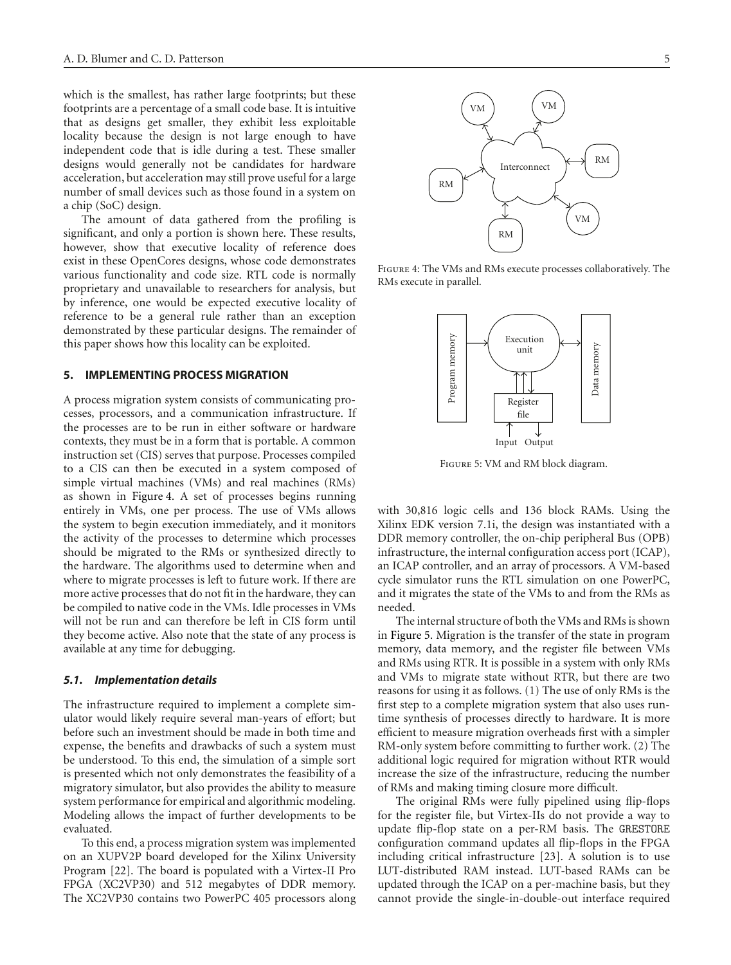which is the smallest, has rather large footprints; but these footprints are a percentage of a small code base. It is intuitive that as designs get smaller, they exhibit less exploitable locality because the design is not large enough to have independent code that is idle during a test. These smaller designs would generally not be candidates for hardware acceleration, but acceleration may still prove useful for a large number of small devices such as those found in a system on a chip (SoC) design.

The amount of data gathered from the profiling is significant, and only a portion is shown here. These results, however, show that executive locality of reference does exist in these OpenCores designs, whose code demonstrates various functionality and code size. RTL code is normally proprietary and unavailable to researchers for analysis, but by inference, one would be expected executive locality of reference to be a general rule rather than an exception demonstrated by these particular designs. The remainder of this paper shows how this locality can be exploited.

#### **5. IMPLEMENTING PROCESS MIGRATION**

A process migration system consists of communicating processes, processors, and a communication infrastructure. If the processes are to be run in either software or hardware contexts, they must be in a form that is portable. A common instruction set (CIS) serves that purpose. Processes compiled to a CIS can then be executed in a system composed of simple virtual machines (VMs) and real machines (RMs) as shown in Figure 4. A set of processes begins running entirely in VMs, one per process. The use of VMs allows the system to begin execution immediately, and it monitors the activity of the processes to determine which processes should be migrated to the RMs or synthesized directly to the hardware. The algorithms used to determine when and where to migrate processes is left to future work. If there are more active processes that do not fit in the hardware, they can be compiled to native code in the VMs. Idle processes in VMs will not be run and can therefore be left in CIS form until they become active. Also note that the state of any process is available at any time for debugging.

#### *5.1. Implementation details*

The infrastructure required to implement a complete simulator would likely require several man-years of effort; but before such an investment should be made in both time and expense, the benefits and drawbacks of such a system must be understood. To this end, the simulation of a simple sort is presented which not only demonstrates the feasibility of a migratory simulator, but also provides the ability to measure system performance for empirical and algorithmic modeling. Modeling allows the impact of further developments to be evaluated.

To this end, a process migration system was implemented on an XUPV2P board developed for the Xilinx University Program [22]. The board is populated with a Virtex-II Pro FPGA (XC2VP30) and 512 megabytes of DDR memory. The XC2VP30 contains two PowerPC 405 processors along



Figure 4: The VMs and RMs execute processes collaboratively. The RMs execute in parallel.



Figure 5: VM and RM block diagram.

with 30,816 logic cells and 136 block RAMs. Using the Xilinx EDK version 7.1i, the design was instantiated with a DDR memory controller, the on-chip peripheral Bus (OPB) infrastructure, the internal configuration access port (ICAP), an ICAP controller, and an array of processors. A VM-based cycle simulator runs the RTL simulation on one PowerPC, and it migrates the state of the VMs to and from the RMs as needed.

The internal structure of both the VMs and RMs is shown in Figure 5. Migration is the transfer of the state in program memory, data memory, and the register file between VMs and RMs using RTR. It is possible in a system with only RMs and VMs to migrate state without RTR, but there are two reasons for using it as follows. (1) The use of only RMs is the first step to a complete migration system that also uses runtime synthesis of processes directly to hardware. It is more efficient to measure migration overheads first with a simpler RM-only system before committing to further work. (2) The additional logic required for migration without RTR would increase the size of the infrastructure, reducing the number of RMs and making timing closure more difficult.

The original RMs were fully pipelined using flip-flops for the register file, but Virtex-IIs do not provide a way to update flip-flop state on a per-RM basis. The GRESTORE configuration command updates all flip-flops in the FPGA including critical infrastructure [23]. A solution is to use LUT-distributed RAM instead. LUT-based RAMs can be updated through the ICAP on a per-machine basis, but they cannot provide the single-in-double-out interface required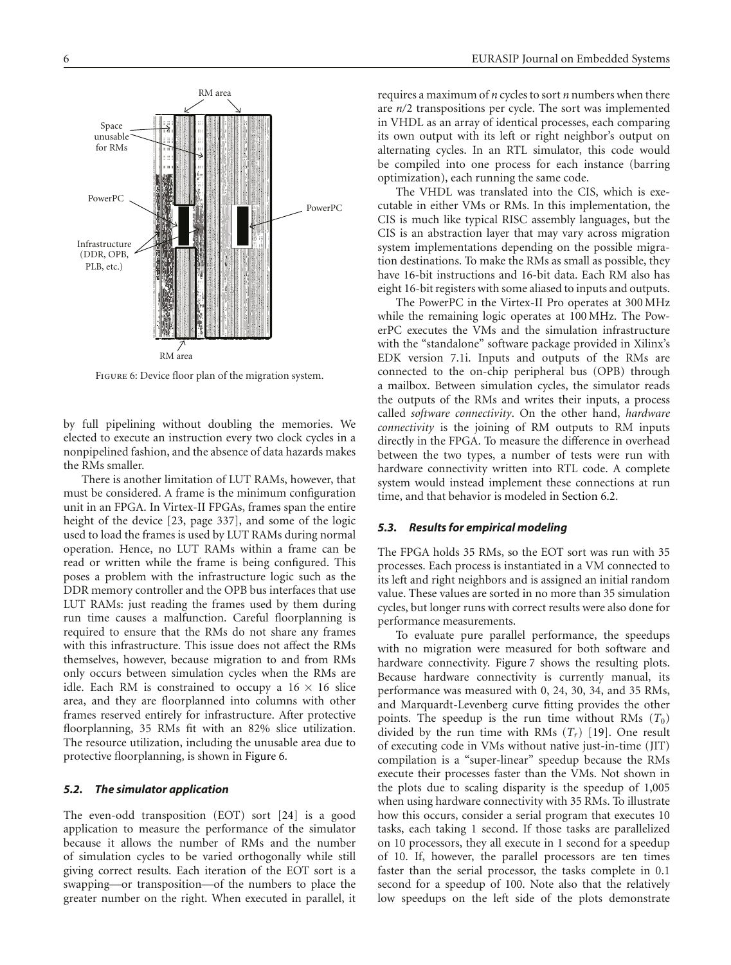

Figure 6: Device floor plan of the migration system.

by full pipelining without doubling the memories. We elected to execute an instruction every two clock cycles in a nonpipelined fashion, and the absence of data hazards makes the RMs smaller.

There is another limitation of LUT RAMs, however, that must be considered. A frame is the minimum configuration unit in an FPGA. In Virtex-II FPGAs, frames span the entire height of the device [23, page 337], and some of the logic used to load the frames is used by LUT RAMs during normal operation. Hence, no LUT RAMs within a frame can be read or written while the frame is being configured. This poses a problem with the infrastructure logic such as the DDR memory controller and the OPB bus interfaces that use LUT RAMs: just reading the frames used by them during run time causes a malfunction. Careful floorplanning is required to ensure that the RMs do not share any frames with this infrastructure. This issue does not affect the RMs themselves, however, because migration to and from RMs only occurs between simulation cycles when the RMs are idle. Each RM is constrained to occupy a  $16 \times 16$  slice area, and they are floorplanned into columns with other frames reserved entirely for infrastructure. After protective floorplanning, 35 RMs fit with an 82% slice utilization. The resource utilization, including the unusable area due to protective floorplanning, is shown in Figure 6.

#### *5.2. The simulator application*

The even-odd transposition (EOT) sort [24] is a good application to measure the performance of the simulator because it allows the number of RMs and the number of simulation cycles to be varied orthogonally while still giving correct results. Each iteration of the EOT sort is a swapping—or transposition—of the numbers to place the greater number on the right. When executed in parallel, it

requires a maximum of *n* cycles to sort *n* numbers when there are *n/*2 transpositions per cycle. The sort was implemented in VHDL as an array of identical processes, each comparing its own output with its left or right neighbor's output on alternating cycles. In an RTL simulator, this code would be compiled into one process for each instance (barring optimization), each running the same code.

The VHDL was translated into the CIS, which is executable in either VMs or RMs. In this implementation, the CIS is much like typical RISC assembly languages, but the CIS is an abstraction layer that may vary across migration system implementations depending on the possible migration destinations. To make the RMs as small as possible, they have 16-bit instructions and 16-bit data. Each RM also has eight 16-bit registers with some aliased to inputs and outputs.

The PowerPC in the Virtex-II Pro operates at 300 MHz while the remaining logic operates at 100 MHz. The PowerPC executes the VMs and the simulation infrastructure with the "standalone" software package provided in Xilinx's EDK version 7.1i. Inputs and outputs of the RMs are connected to the on-chip peripheral bus (OPB) through a mailbox. Between simulation cycles, the simulator reads the outputs of the RMs and writes their inputs, a process called *software connectivity*. On the other hand, *hardware connectivity* is the joining of RM outputs to RM inputs directly in the FPGA. To measure the difference in overhead between the two types, a number of tests were run with hardware connectivity written into RTL code. A complete system would instead implement these connections at run time, and that behavior is modeled in Section 6.2.

## *5.3. Results for empirical modeling*

The FPGA holds 35 RMs, so the EOT sort was run with 35 processes. Each process is instantiated in a VM connected to its left and right neighbors and is assigned an initial random value. These values are sorted in no more than 35 simulation cycles, but longer runs with correct results were also done for performance measurements.

To evaluate pure parallel performance, the speedups with no migration were measured for both software and hardware connectivity. Figure 7 shows the resulting plots. Because hardware connectivity is currently manual, its performance was measured with 0, 24, 30, 34, and 35 RMs, and Marquardt-Levenberg curve fitting provides the other points. The speedup is the run time without RMs  $(T_0)$ divided by the run time with RMs  $(T_r)$  [19]. One result of executing code in VMs without native just-in-time (JIT) compilation is a "super-linear" speedup because the RMs execute their processes faster than the VMs. Not shown in the plots due to scaling disparity is the speedup of 1,005 when using hardware connectivity with 35 RMs. To illustrate how this occurs, consider a serial program that executes 10 tasks, each taking 1 second. If those tasks are parallelized on 10 processors, they all execute in 1 second for a speedup of 10. If, however, the parallel processors are ten times faster than the serial processor, the tasks complete in 0.1 second for a speedup of 100. Note also that the relatively low speedups on the left side of the plots demonstrate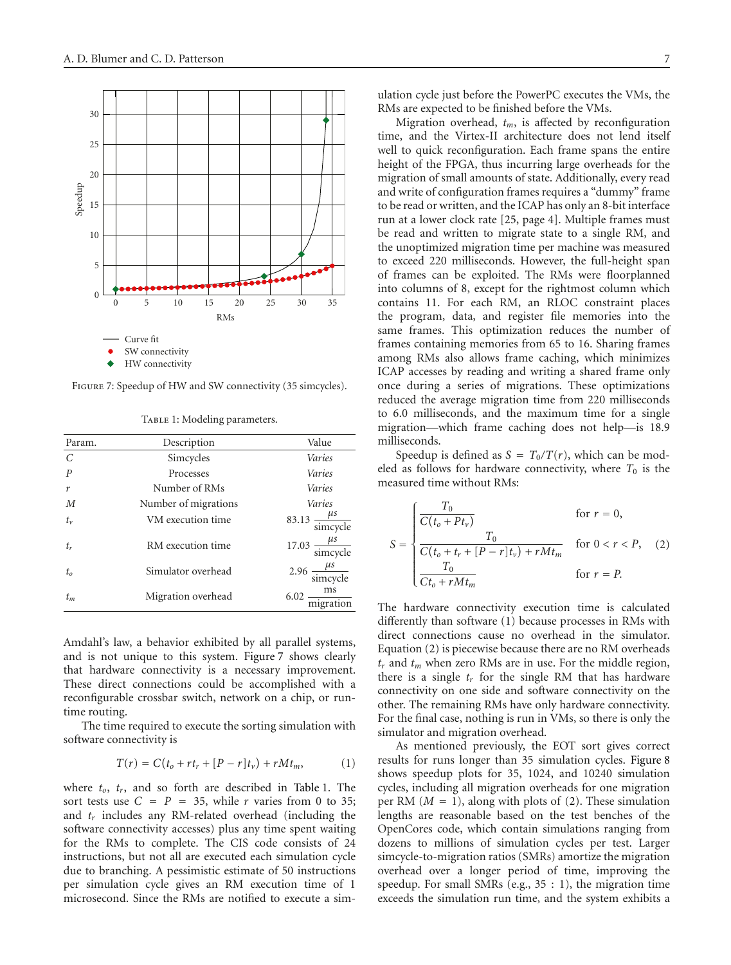

Figure 7: Speedup of HW and SW connectivity (35 simcycles).

| Param.         | Description          | Value                                 |
|----------------|----------------------|---------------------------------------|
| C              | Simcycles            | Varies                                |
| P              | Processes            | Varies                                |
| r              | Number of RMs        | Varies                                |
| $\overline{M}$ | Number of migrations | Varies                                |
| $t_{\nu}$      | VM execution time    | 83.13 $\frac{\mu s}{\text{simcycle}}$ |
| $t_r$          | RM execution time    | $17.03 \frac{\mu s}{\text{simcycle}}$ |
| $t_{o}$        | Simulator overhead   | 2.96 $\frac{\mu s}{\text{simcycle}}$  |
| $t_m$          | Migration overhead   | $\frac{ms}{migration}$<br>6.02        |

TABLE 1: Modeling parameters.

Amdahl's law, a behavior exhibited by all parallel systems, and is not unique to this system. Figure 7 shows clearly that hardware connectivity is a necessary improvement. These direct connections could be accomplished with a reconfigurable crossbar switch, network on a chip, or runtime routing.

The time required to execute the sorting simulation with software connectivity is

$$
T(r) = C(t_0 + rt_r + [P - r]t_v) + rMt_m,
$$
 (1)

where  $t_0$ ,  $t_r$ , and so forth are described in Table 1. The sort tests use  $C = P = 35$ , while *r* varies from 0 to 35; and *tr* includes any RM-related overhead (including the software connectivity accesses) plus any time spent waiting for the RMs to complete. The CIS code consists of 24 instructions, but not all are executed each simulation cycle due to branching. A pessimistic estimate of 50 instructions per simulation cycle gives an RM execution time of 1 microsecond. Since the RMs are notified to execute a simulation cycle just before the PowerPC executes the VMs, the RMs are expected to be finished before the VMs.

Migration overhead, *tm*, is affected by reconfiguration time, and the Virtex-II architecture does not lend itself well to quick reconfiguration. Each frame spans the entire height of the FPGA, thus incurring large overheads for the migration of small amounts of state. Additionally, every read and write of configuration frames requires a "dummy" frame to be read or written, and the ICAP has only an 8-bit interface run at a lower clock rate [25, page 4]. Multiple frames must be read and written to migrate state to a single RM, and the unoptimized migration time per machine was measured to exceed 220 milliseconds. However, the full-height span of frames can be exploited. The RMs were floorplanned into columns of 8, except for the rightmost column which contains 11. For each RM, an RLOC constraint places the program, data, and register file memories into the same frames. This optimization reduces the number of frames containing memories from 65 to 16. Sharing frames among RMs also allows frame caching, which minimizes ICAP accesses by reading and writing a shared frame only once during a series of migrations. These optimizations reduced the average migration time from 220 milliseconds to 6.0 milliseconds, and the maximum time for a single migration—which frame caching does not help—is 18.9 milliseconds.

Speedup is defined as  $S = T_0/T(r)$ , which can be modeled as follows for hardware connectivity, where  $T_0$  is the measured time without RMs:

$$
S = \begin{cases} \frac{T_0}{C(t_o + Pt_v)} & \text{for } r = 0, \\ \frac{T_0}{C(t_o + t_r + [P - r]t_v) + rMt_m} & \text{for } 0 < r < P, \\ \frac{T_0}{Ct_o + rMt_m} & \text{for } r = P. \end{cases}
$$

The hardware connectivity execution time is calculated differently than software (1) because processes in RMs with direct connections cause no overhead in the simulator. Equation (2) is piecewise because there are no RM overheads  $t_r$  and  $t_m$  when zero RMs are in use. For the middle region, there is a single  $t_r$  for the single RM that has hardware connectivity on one side and software connectivity on the other. The remaining RMs have only hardware connectivity. For the final case, nothing is run in VMs, so there is only the simulator and migration overhead.

As mentioned previously, the EOT sort gives correct results for runs longer than 35 simulation cycles. Figure 8 shows speedup plots for 35, 1024, and 10240 simulation cycles, including all migration overheads for one migration per RM  $(M = 1)$ , along with plots of  $(2)$ . These simulation lengths are reasonable based on the test benches of the OpenCores code, which contain simulations ranging from dozens to millions of simulation cycles per test. Larger simcycle-to-migration ratios (SMRs) amortize the migration overhead over a longer period of time, improving the speedup. For small SMRs (e.g., 35 : 1), the migration time exceeds the simulation run time, and the system exhibits a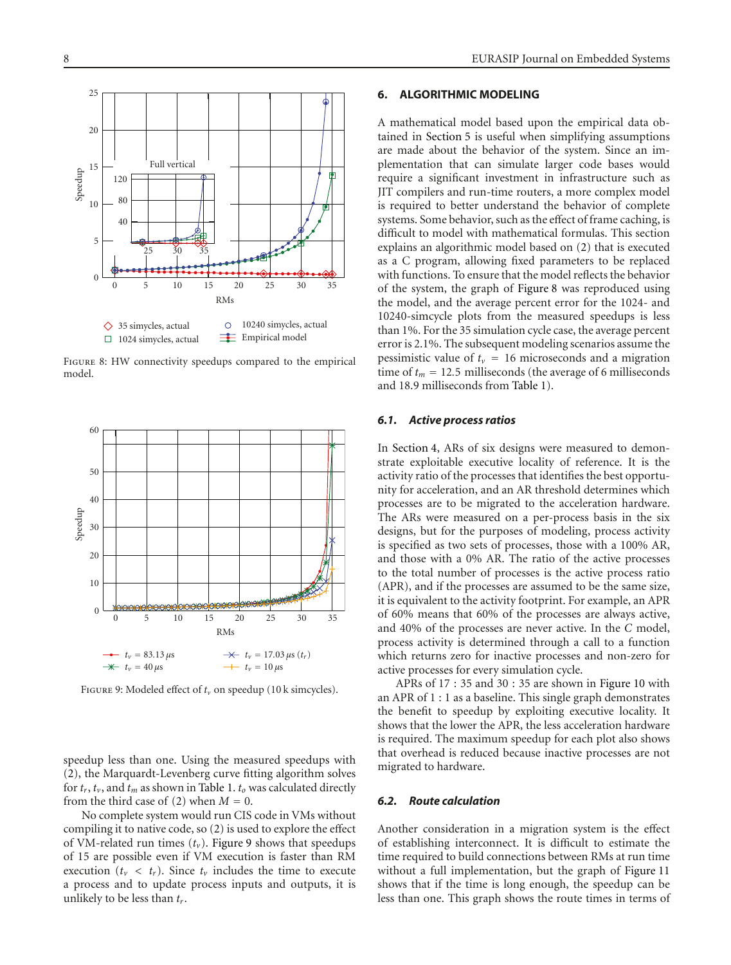

Figure 8: HW connectivity speedups compared to the empirical model.



FIGURE 9: Modeled effect of  $t_v$  on speedup (10 k simcycles).

speedup less than one. Using the measured speedups with (2), the Marquardt-Levenberg curve fitting algorithm solves for  $t_r$ ,  $t_v$ , and  $t_m$  as shown in Table 1.  $t_o$  was calculated directly from the third case of (2) when  $M = 0$ .

No complete system would run CIS code in VMs without compiling it to native code, so (2) is used to explore the effect of VM-related run times  $(t_v)$ . Figure 9 shows that speedups of 15 are possible even if VM execution is faster than RM execution  $(t_v < t_r)$ . Since  $t_v$  includes the time to execute a process and to update process inputs and outputs, it is unlikely to be less than *tr*.

## **6. ALGORITHMIC MODELING**

A mathematical model based upon the empirical data obtained in Section 5 is useful when simplifying assumptions are made about the behavior of the system. Since an implementation that can simulate larger code bases would require a significant investment in infrastructure such as JIT compilers and run-time routers, a more complex model is required to better understand the behavior of complete systems. Some behavior, such as the effect of frame caching, is difficult to model with mathematical formulas. This section explains an algorithmic model based on (2) that is executed as a C program, allowing fixed parameters to be replaced with functions. To ensure that the model reflects the behavior of the system, the graph of Figure 8 was reproduced using the model, and the average percent error for the 1024- and 10240-simcycle plots from the measured speedups is less than 1%. For the 35 simulation cycle case, the average percent error is 2.1%. The subsequent modeling scenarios assume the pessimistic value of  $t_v = 16$  microseconds and a migration time of  $t_m = 12.5$  milliseconds (the average of 6 milliseconds and 18.9 milliseconds from Table 1).

#### *6.1. Active process ratios*

In Section 4, ARs of six designs were measured to demonstrate exploitable executive locality of reference. It is the activity ratio of the processes that identifies the best opportunity for acceleration, and an AR threshold determines which processes are to be migrated to the acceleration hardware. The ARs were measured on a per-process basis in the six designs, but for the purposes of modeling, process activity is specified as two sets of processes, those with a 100% AR, and those with a 0% AR. The ratio of the active processes to the total number of processes is the active process ratio (APR), and if the processes are assumed to be the same size, it is equivalent to the activity footprint. For example, an APR of 60% means that 60% of the processes are always active, and 40% of the processes are never active. In the *C* model, process activity is determined through a call to a function which returns zero for inactive processes and non-zero for active processes for every simulation cycle.

APRs of 17 : 35 and 30 : 35 are shown in Figure 10 with an APR of 1 : 1 as a baseline. This single graph demonstrates the benefit to speedup by exploiting executive locality. It shows that the lower the APR, the less acceleration hardware is required. The maximum speedup for each plot also shows that overhead is reduced because inactive processes are not migrated to hardware.

#### *6.2. Route calculation*

Another consideration in a migration system is the effect of establishing interconnect. It is difficult to estimate the time required to build connections between RMs at run time without a full implementation, but the graph of Figure 11 shows that if the time is long enough, the speedup can be less than one. This graph shows the route times in terms of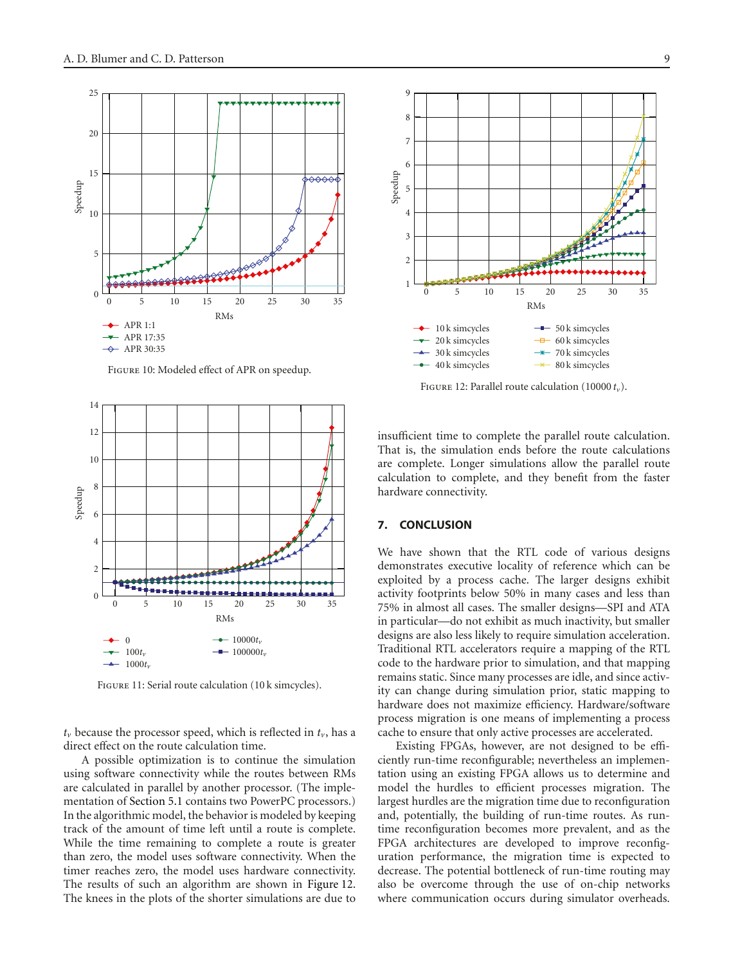

Figure 10: Modeled effect of APR on speedup.



FIGURE 11: Serial route calculation (10 k simcycles).

*tv* because the processor speed, which is reflected in *tv*, has a direct effect on the route calculation time.

A possible optimization is to continue the simulation using software connectivity while the routes between RMs are calculated in parallel by another processor. (The implementation of Section 5.1 contains two PowerPC processors.) In the algorithmic model, the behavior is modeled by keeping track of the amount of time left until a route is complete. While the time remaining to complete a route is greater than zero, the model uses software connectivity. When the timer reaches zero, the model uses hardware connectivity. The results of such an algorithm are shown in Figure 12. The knees in the plots of the shorter simulations are due to



FIGURE 12: Parallel route calculation  $(10000 t_v)$ .

insufficient time to complete the parallel route calculation. That is, the simulation ends before the route calculations are complete. Longer simulations allow the parallel route calculation to complete, and they benefit from the faster hardware connectivity.

#### **7. CONCLUSION**

We have shown that the RTL code of various designs demonstrates executive locality of reference which can be exploited by a process cache. The larger designs exhibit activity footprints below 50% in many cases and less than 75% in almost all cases. The smaller designs—SPI and ATA in particular—do not exhibit as much inactivity, but smaller designs are also less likely to require simulation acceleration. Traditional RTL accelerators require a mapping of the RTL code to the hardware prior to simulation, and that mapping remains static. Since many processes are idle, and since activity can change during simulation prior, static mapping to hardware does not maximize efficiency. Hardware/software process migration is one means of implementing a process cache to ensure that only active processes are accelerated.

Existing FPGAs, however, are not designed to be efficiently run-time reconfigurable; nevertheless an implementation using an existing FPGA allows us to determine and model the hurdles to efficient processes migration. The largest hurdles are the migration time due to reconfiguration and, potentially, the building of run-time routes. As runtime reconfiguration becomes more prevalent, and as the FPGA architectures are developed to improve reconfiguration performance, the migration time is expected to decrease. The potential bottleneck of run-time routing may also be overcome through the use of on-chip networks where communication occurs during simulator overheads.